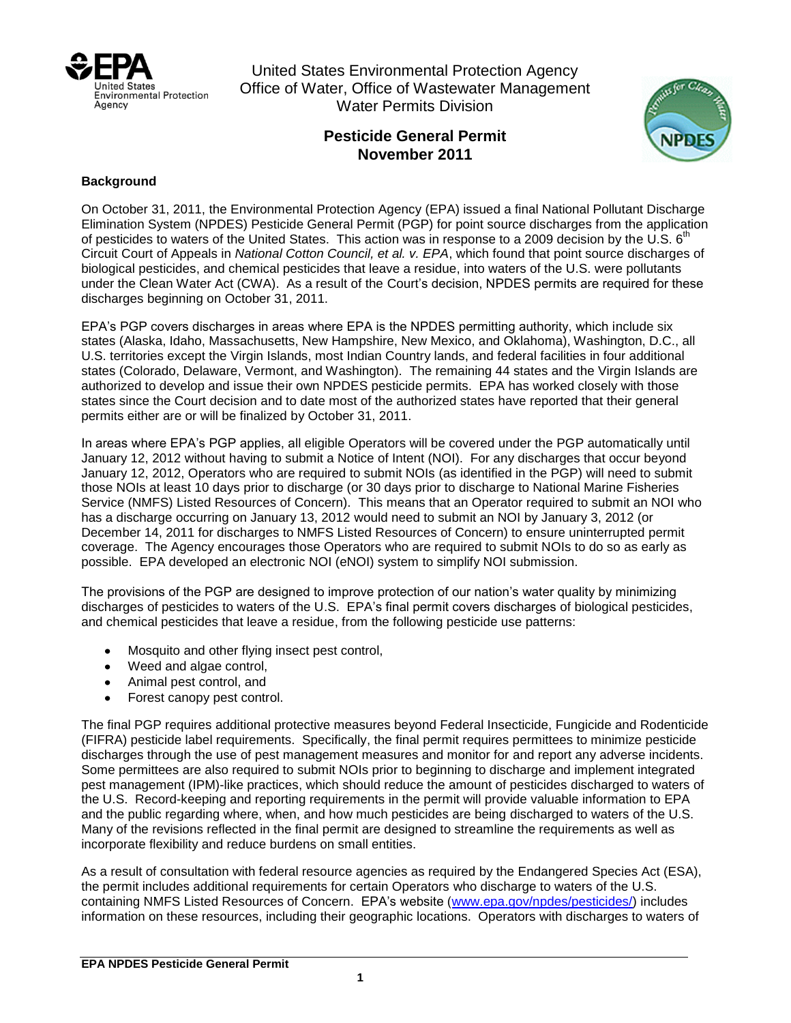

United States Environmental Protection Agency Office of Water, Office of Wastewater Management Water Permits Division

## **Pesticide General Permit November 2011**



## **Background**

On October 31, 2011, the Environmental Protection Agency (EPA) issued a final National Pollutant Discharge Elimination System (NPDES) Pesticide General Permit (PGP) for point source discharges from the application of pesticides to waters of the United States. This action was in response to a 2009 decision by the U.S.  $6<sup>th</sup>$ Circuit Court of Appeals in *National Cotton Council, et al. v. EPA*, which found that point source discharges of biological pesticides, and chemical pesticides that leave a residue, into waters of the U.S. were pollutants under the Clean Water Act (CWA). As a result of the Court's decision, NPDES permits are required for these discharges beginning on October 31, 2011.

EPA's PGP covers discharges in areas where EPA is the NPDES permitting authority, which include six states (Alaska, Idaho, Massachusetts, New Hampshire, New Mexico, and Oklahoma), Washington, D.C., all U.S. territories except the Virgin Islands, most Indian Country lands, and federal facilities in four additional states (Colorado, Delaware, Vermont, and Washington). The remaining 44 states and the Virgin Islands are authorized to develop and issue their own NPDES pesticide permits. EPA has worked closely with those states since the Court decision and to date most of the authorized states have reported that their general permits either are or will be finalized by October 31, 2011.

In areas where EPA's PGP applies, all eligible Operators will be covered under the PGP automatically until January 12, 2012 without having to submit a Notice of Intent (NOI). For any discharges that occur beyond January 12, 2012, Operators who are required to submit NOIs (as identified in the PGP) will need to submit those NOIs at least 10 days prior to discharge (or 30 days prior to discharge to National Marine Fisheries Service (NMFS) Listed Resources of Concern). This means that an Operator required to submit an NOI who has a discharge occurring on January 13, 2012 would need to submit an NOI by January 3, 2012 (or December 14, 2011 for discharges to NMFS Listed Resources of Concern) to ensure uninterrupted permit coverage. The Agency encourages those Operators who are required to submit NOIs to do so as early as possible. EPA developed an electronic NOI (eNOI) system to simplify NOI submission.

The provisions of the PGP are designed to improve protection of our nation's water quality by minimizing discharges of pesticides to waters of the U.S. EPA's final permit covers discharges of biological pesticides, and chemical pesticides that leave a residue, from the following pesticide use patterns:

- Mosquito and other flying insect pest control,
- Weed and algae control,  $\bullet$
- Animal pest control, and
- Forest canopy pest control.

The final PGP requires additional protective measures beyond Federal Insecticide, Fungicide and Rodenticide (FIFRA) pesticide label requirements. Specifically, the final permit requires permittees to minimize pesticide discharges through the use of pest management measures and monitor for and report any adverse incidents. Some permittees are also required to submit NOIs prior to beginning to discharge and implement integrated pest management (IPM)-like practices, which should reduce the amount of pesticides discharged to waters of the U.S. Record-keeping and reporting requirements in the permit will provide valuable information to EPA and the public regarding where, when, and how much pesticides are being discharged to waters of the U.S. Many of the revisions reflected in the final permit are designed to streamline the requirements as well as incorporate flexibility and reduce burdens on small entities.

As a result of consultation with federal resource agencies as required by the Endangered Species Act (ESA), the permit includes additional requirements for certain Operators who discharge to waters of the U.S. containing NMFS Listed Resources of Concern. EPA's website [\(www.epa.gov/npdes/pesticides/\)](http://www.epa.gov/npdes/pesticides/) includes information on these resources, including their geographic locations. Operators with discharges to waters of